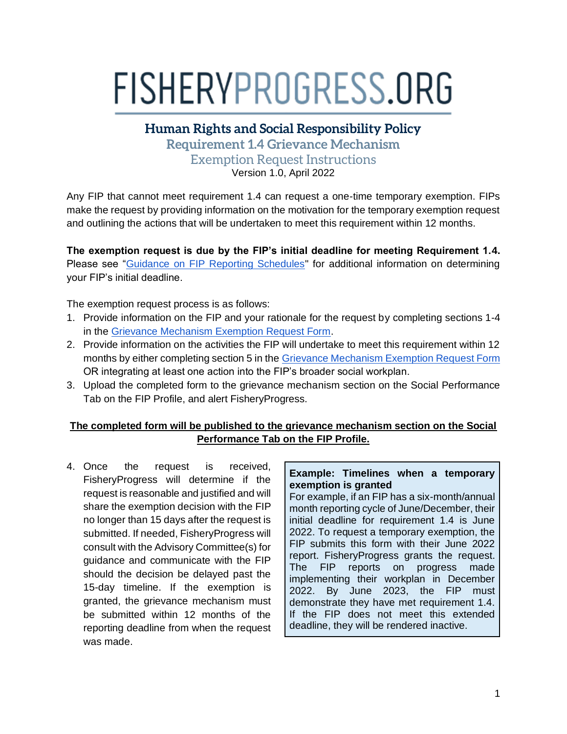## FISHERYPROGRESS.ORG

**Human Rights and Social Responsibility Policy**

**Requirement 1.4 Grievance Mechanism** Exemption Request Instructions

Version 1.0, April 2022

Any FIP that cannot meet requirement 1.4 can request a one-time temporary exemption. FIPs make the request by providing information on the motivation for the temporary exemption request and outlining the actions that will be undertaken to meet this requirement within 12 months.

**The exemption request is due by the FIP's initial deadline for meeting Requirement 1.4.** Please see "Guidance on FIP Reporting Schedules" for additional information on determining your FIP's initial deadline.

The exemption request process is as follows:

- 1. Provide information on the FIP and your rationale for the request by completing sections 1-4 in the [Grievance Mechanism Exemption Request Form.](https://fisheryprogress.org/resources/launching-fip)
- 2. Provide information on the activities the FIP will undertake to meet this requirement within 12 months by either completing section 5 in the [Grievance Mechanism Exemption Request Form](https://fisheryprogress.org/resources/launching-fip) OR integrating at least one action into the FIP's broader social workplan.
- 3. Upload the completed form to the grievance mechanism section on the Social Performance Tab on the FIP Profile, and alert FisheryProgress.

## **The completed form will be published to the grievance mechanism section on the Social Performance Tab on the FIP Profile.**

4. Once the request is received, FisheryProgress will determine if the request is reasonable and justified and will share the exemption decision with the FIP no longer than 15 days after the request is submitted. If needed, FisheryProgress will consult with the Advisory Committee(s) for guidance and communicate with the FIP should the decision be delayed past the 15-day timeline. If the exemption is granted, the grievance mechanism must be submitted within 12 months of the reporting deadline from when the request was made.

## **Example: Timelines when a temporary exemption is granted**

For example, if an FIP has a six-month/annual month reporting cycle of June/December, their initial deadline for requirement 1.4 is June 2022. To request a temporary exemption, the FIP submits this form with their June 2022 report. FisheryProgress grants the request. The FIP reports on progress made implementing their workplan in December 2022. By June 2023, the FIP must demonstrate they have met requirement 1.4. If the FIP does not meet this extended deadline, they will be rendered inactive.